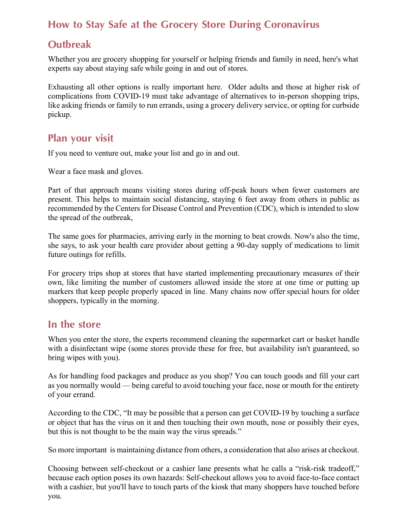## How to Stay Safe at the Grocery Store During Coronavirus

### **Outbreak**

Whether you are grocery shopping for yourself or helping friends and family in need, here's what experts say about staying safe while going in and out of stores.

Exhausting all other options is really important here. Older adults and those at higher risk of complications from COVID-19 must take advantage of alternatives to in-person shopping trips, like asking friends or family to run errands, using a grocery delivery service, or opting for curbside pickup.

### Plan your visit

If you need to venture out, make your list and go in and out.

Wear a face mask and gloves.

Part of that approach means visiting stores during off-peak hours when fewer customers are present. This helps to maintain social distancing, staying 6 feet away from others in public as recommended by the Centers for Disease Control and Prevention (CDC), which is intended to slow the spread of the outbreak,

The same goes for pharmacies, arriving early in the morning to beat crowds. Now's also the time, she says, to ask your health care provider about getting a 90-day supply of medications to limit future outings for refills.

For grocery trips shop at stores that have started implementing precautionary measures of their own, like limiting the number of customers allowed inside the store at one time or putting up markers that keep people properly spaced in line. Many chains now offer special hours for older shoppers, typically in the morning.

#### In the store

When you enter the store, the experts recommend cleaning the supermarket cart or basket handle with a disinfectant wipe (some stores provide these for free, but availability isn't guaranteed, so bring wipes with you).

As for handling food packages and produce as you shop? You can touch goods and fill your cart as you normally would — being careful to avoid touching your face, nose or mouth for the entirety of your errand.

According to the CDC, "It may be possible that a person can get COVID-19 by touching a surface or object that has the virus on it and then touching their own mouth, nose or possibly their eyes, but this is not thought to be the main way the virus spreads."

So more important is maintaining distance from others, a consideration that also arises at checkout.

Choosing between self-checkout or a cashier lane presents what he calls a "risk-risk tradeoff," because each option poses its own hazards: Self-checkout allows you to avoid face-to-face contact with a cashier, but you'll have to touch parts of the kiosk that many shoppers have touched before you.